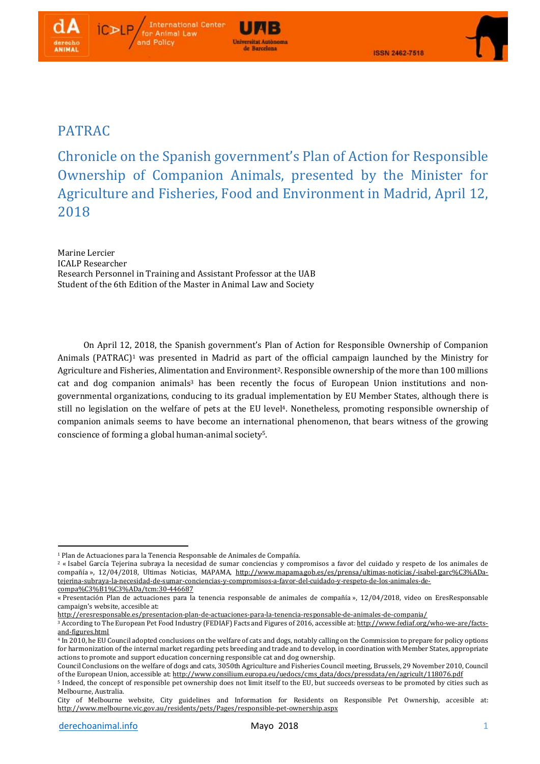

# PATRAC

Chronicle on the Spanish government's Plan of Action for Responsible Ownership of Companion Animals, presented by the Minister for Agriculture and Fisheries, Food and Environment in Madrid, April 12, 2018

**Universitat Autonomy** le Barcelona

Marine Lercier ICALP Researcher Research Personnel in Training and Assistant Professor at the UAB Student of the 6th Edition of the Master in Animal Law and Society

**International Center** 

for Animal Law and Policy

On April 12, 2018, the Spanish government's Plan of Action for Responsible Ownership of Companion Animals (PATRAC)<sup>1</sup> was presented in Madrid as part of the official campaign launched by the Ministry for Agriculture and Fisheries, Alimentation and Environment<sup>2</sup>. Responsible ownership of the more than 100 millions cat and dog companion animals<sup>3</sup> has been recently the focus of European Union institutions and nongovernmental organizations, conducing to its gradual implementation by EU Member States, although there is still no legislation on the welfare of pets at the EU level<sup>4</sup>. Nonetheless, promoting responsible ownership of companion animals seems to have become an international phenomenon, that bears witness of the growing conscience of forming a global human-animal society5.

<sup>1</sup> <sup>1</sup> Plan de Actuaciones para la Tenencia Responsable de Animales de Compañía.

<sup>2</sup> « Isabel García Tejerina subraya la necesidad de sumar conciencias y compromisos a favor del cuidado y respeto de los animales de compañía », 12/04/2018, Ultimas Noticias, MAPAMA, [http://www.mapama.gob.es/es/prensa/ultimas-noticias/-isabel-garc%C3%ADa](http://www.mapama.gob.es/es/prensa/ultimas-noticias/-isabel-garc%25C3%25ADa-tejerina-subraya-la-necesidad-de-sumar-conciencias-y-compromisos-a-favor-del-cuidado-y-respeto-de-los-animales-de-compa%25C3%25B1%25C3%25ADa/tcm:30-446687)[tejerina-subraya-la-necesidad-de-sumar-conciencias-y-compromisos-a-favor-del-cuidado-y-respeto-de-los-animales-de](http://www.mapama.gob.es/es/prensa/ultimas-noticias/-isabel-garc%25C3%25ADa-tejerina-subraya-la-necesidad-de-sumar-conciencias-y-compromisos-a-favor-del-cuidado-y-respeto-de-los-animales-de-compa%25C3%25B1%25C3%25ADa/tcm:30-446687)[compa%C3%B1%C3%ADa/tcm:30-446687](http://www.mapama.gob.es/es/prensa/ultimas-noticias/-isabel-garc%25C3%25ADa-tejerina-subraya-la-necesidad-de-sumar-conciencias-y-compromisos-a-favor-del-cuidado-y-respeto-de-los-animales-de-compa%25C3%25B1%25C3%25ADa/tcm:30-446687) 

<sup>«</sup> Presentación Plan de actuaciones para la tenencia responsable de animales de compañía », 12/04/2018, video on EresResponsable campaign's website, accesible at:

<http://eresresponsable.es/presentacion-plan-de-actuaciones-para-la-tenencia-responsable-de-animales-de-compania/>

<sup>&</sup>lt;sup>3</sup> According to The European Pet Food Industry (FEDIAF) Facts and Figures of 2016, accessible at: [http://www.fediaf.org/who-we-are/facts](http://www.fediaf.org/who-we-are/facts-and-figures.html)[and-figures.html](http://www.fediaf.org/who-we-are/facts-and-figures.html)

<sup>4</sup> In 2010, he EU Council adopted conclusions on the welfare of cats and dogs, notably calling on the Commission to prepare for policy options for harmonization of the internal market regarding pets breeding and trade and to develop, in coordination with Member States, appropriate actions to promote and support education concerning responsible cat and dog ownership.

Council Conclusions on the welfare of dogs and cats, 3050th Agriculture and Fisheries Council meeting, Brussels, 29 November 2010, Council of the European Union, accessible at: [http://www.consilium.europa.eu/uedocs/cms\\_data/docs/pressdata/en/agricult/118076.pdf](http://www.consilium.europa.eu/uedocs/cms_data/docs/pressdata/en/agricult/118076.pdf)

<sup>5</sup> Indeed, the concept of responsible pet ownership does not limit itself to the EU, but succeeds overseas to be promoted by cities such as Melbourne, Australia.

City of Melbourne website, City guidelines and Information for Residents on Responsible Pet Ownership, accesible at: <http://www.melbourne.vic.gov.au/residents/pets/Pages/responsible-pet-ownership.aspx>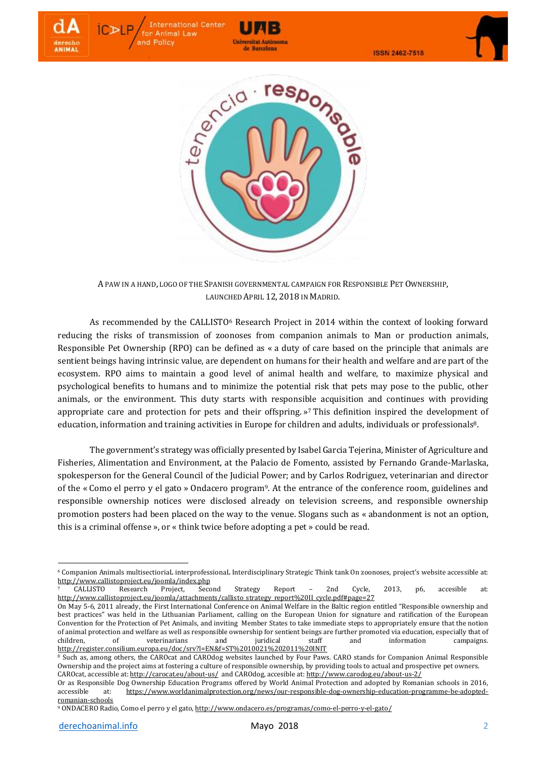



**Universitat Autonomi** de Barcelona

**International Center** 

for Animal Law and Policy

A PAW IN A HAND, LOGO OF THE SPANISH GOVERNMENTAL CAMPAIGN FOR RESPONSIBLE PET OWNERSHIP, LAUNCHED APRIL 12, 2018 IN MADRID.

As recommended by the CALLISTO<sup>6</sup> Research Project in 2014 within the context of looking forward reducing the risks of transmission of zoonoses from companion animals to Man or production animals, Responsible Pet Ownership (RPO) can be defined as « a duty of care based on the principle that animals are sentient beings having intrinsic value, are dependent on humans for their health and welfare and are part of the ecosystem. RPO aims to maintain a good level of animal health and welfare, to maximize physical and psychological benefits to humans and to minimize the potential risk that pets may pose to the public, other animals, or the environment. This duty starts with responsible acquisition and continues with providing appropriate care and protection for pets and their offspring. » <sup>7</sup> This definition inspired the development of education, information and training activities in Europe for children and adults, individuals or professionals<sup>8</sup>.

The government's strategy was officially presented by Isabel Garcia Tejerina, Minister of Agriculture and Fisheries, Alimentation and Environment, at the Palacio de Fomento, assisted by Fernando Grande-Marlaska, spokesperson for the General Council of the Judicial Power; and by Carlos Rodriguez, veterinarian and director of the « Como el perro y el gato » Ondacero program9. At the entrance of the conference room, guidelines and responsible ownership notices were disclosed already on television screens, and responsible ownership promotion posters had been placed on the way to the venue. Slogans such as « abandonment is not an option, this is a criminal offense », or « think twice before adopting a pet » could be read.

**.** 

<sup>6</sup> Companion Animals multisectioriaL interprofessionaL Interdisciplinary Strategic Think tank On zoonoses, project's website accessible at: <http://www.callistoproject.eu/joomla/index.php>

<sup>7</sup> CALLISTO Research Project, Second Strategy Report – 2nd Cycle, 2013, p6, accesible at: [http://www.callistoproject.eu/joomla/attachments/callisto\\_strategy\\_report%20II\\_cycle.pdf#page=27](http://www.callistoproject.eu/joomla/attachments/callisto_strategy_report%2520II_cycle.pdf%23page=27)

On May 5-6, 2011 already, the First International Conference on Animal Welfare in the Baltic region entitled "Responsible ownership and best practices" was held in the Lithuanian Parliament, calling on the European Union for signature and ratification of the European Convention for the Protection of Pet Animals, and inviting Member States to take immediate steps to appropriately ensure that the notion of animal protection and welfare as well as responsible ownership for sentient beings are further promoted via education, especially that of children, of veterinarians and juridical staff and information campaigns. [http://register.consilium.europa.eu/doc/srv?l=EN&f=ST%2010021%202011%20INIT](http://register.consilium.europa.eu/doc/srv?l=EN&f=ST%252010021%25202011%2520INIT)

<sup>8</sup> Such as, among others, the CAROcat and CAROdog websites launched by Four Paws. CARO stands for Companion Animal Responsible Ownership and the project aims at fostering a culture of responsible ownership, by providing tools to actual and prospective pet owners. CAROcat, accessible at: <http://carocat.eu/about-us/>and CAROdog, accesible at: <http://www.carodog.eu/about-us-2/>

Or as Responsible Dog Ownership Education Programs offered by World Animal Protection and adopted by Romanian schools in 2016, accessible at: [https://www.worldanimalprotection.org/news/our-responsible-dog-ownership-education-programme-be-adopted](https://www.worldanimalprotection.org/news/our-responsible-dog-ownership-education-programme-be-adopted-romanian-schools)[romanian-schools](https://www.worldanimalprotection.org/news/our-responsible-dog-ownership-education-programme-be-adopted-romanian-schools)

<sup>9</sup> ONDACERO Radio, Como el perro y el gato, <http://www.ondacero.es/programas/como-el-perro-y-el-gato/>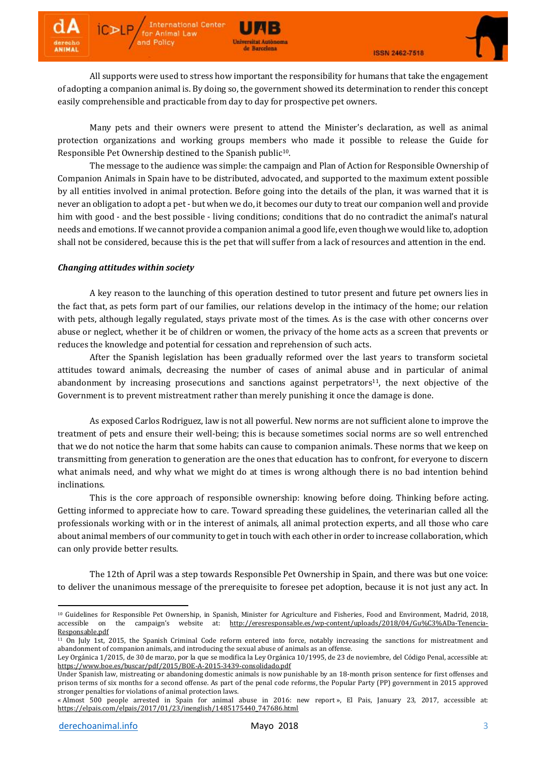

All supports were used to stress how important the responsibility for humans that take the engagement of adopting a companion animal is. By doing so, the government showed its determination to render this concept easily comprehensible and practicable from day to day for prospective pet owners.

**Universitat Autonomi** de Barcelona

**International Center** for Animal Law and Policy

Many pets and their owners were present to attend the Minister's declaration, as well as animal protection organizations and working groups members who made it possible to release the Guide for Responsible Pet Ownership destined to the Spanish public<sup>10</sup>.

The message to the audience was simple: the campaign and Plan of Action for Responsible Ownership of Companion Animals in Spain have to be distributed, advocated, and supported to the maximum extent possible by all entities involved in animal protection. Before going into the details of the plan, it was warned that it is never an obligation to adopt a pet - but when we do, it becomes our duty to treat our companion well and provide him with good - and the best possible - living conditions; conditions that do no contradict the animal's natural needs and emotions. If we cannot provide a companion animal a good life, even though we would like to, adoption shall not be considered, because this is the pet that will suffer from a lack of resources and attention in the end.

## *Changing attitudes within society*

A key reason to the launching of this operation destined to tutor present and future pet owners lies in the fact that, as pets form part of our families, our relations develop in the intimacy of the home; our relation with pets, although legally regulated, stays private most of the times. As is the case with other concerns over abuse or neglect, whether it be of children or women, the privacy of the home acts as a screen that prevents or reduces the knowledge and potential for cessation and reprehension of such acts.

After the Spanish legislation has been gradually reformed over the last years to transform societal attitudes toward animals, decreasing the number of cases of animal abuse and in particular of animal abandonment by increasing prosecutions and sanctions against perpetrators<sup>11</sup>, the next objective of the Government is to prevent mistreatment rather than merely punishing it once the damage is done.

As exposed Carlos Rodriguez, law is not all powerful. New norms are not sufficient alone to improve the treatment of pets and ensure their well-being; this is because sometimes social norms are so well entrenched that we do not notice the harm that some habits can cause to companion animals. These norms that we keep on transmitting from generation to generation are the ones that education has to confront, for everyone to discern what animals need, and why what we might do at times is wrong although there is no bad intention behind inclinations.

This is the core approach of responsible ownership: knowing before doing. Thinking before acting. Getting informed to appreciate how to care. Toward spreading these guidelines, the veterinarian called all the professionals working with or in the interest of animals, all animal protection experts, and all those who care about animal members of our community to get in touch with each other in order to increase collaboration, which can only provide better results.

The 12th of April was a step towards Responsible Pet Ownership in Spain, and there was but one voice: to deliver the unanimous message of the prerequisite to foresee pet adoption, because it is not just any act. In

1

<sup>&</sup>lt;sup>10</sup> Guidelines for Responsible Pet Ownership, in Spanish, Minister for Agriculture and Fisheries, Food and Environment, Madrid, 2018, accessible on the campaign's website at: [http://eresresponsable.es/wp-content/uploads/2018/04/Gu%C3%ADa-Tenencia-](http://eresresponsable.es/wp-content/uploads/2018/04/Gu%25C3%25ADa-Tenencia-Responsable.pdf)[Responsable.pdf](http://eresresponsable.es/wp-content/uploads/2018/04/Gu%25C3%25ADa-Tenencia-Responsable.pdf)

 $\frac{11}{11}$  On July 1st, 2015, the Spanish Criminal Code reform entered into force, notably increasing the sanctions for mistreatment and abandonment of companion animals, and introducing the sexual abuse of animals as an offense.

Ley Orgánica 1/2015, de 30 de marzo, por la que se modifica la Ley Orgánica 10/1995, de 23 de noviembre, del Código Penal, accessible at: <https://www.boe.es/buscar/pdf/2015/BOE-A-2015-3439-consolidado.pdf>

Under Spanish law, mistreating or abandoning domestic animals is now punishable by an 18-month prison sentence for first offenses and prison terms of six months for a second offense. As part of the penal code reforms, the Popular Party (PP) government in 2015 approved stronger penalties for violations of animal protection laws.

<sup>«</sup> Almost 500 people arrested in Spain for animal abuse in 2016: new report », El Pais, January 23, 2017, accessible at: [https://elpais.com/elpais/2017/01/23/inenglish/1485175440\\_747686.html](https://elpais.com/elpais/2017/01/23/inenglish/1485175440_747686.html)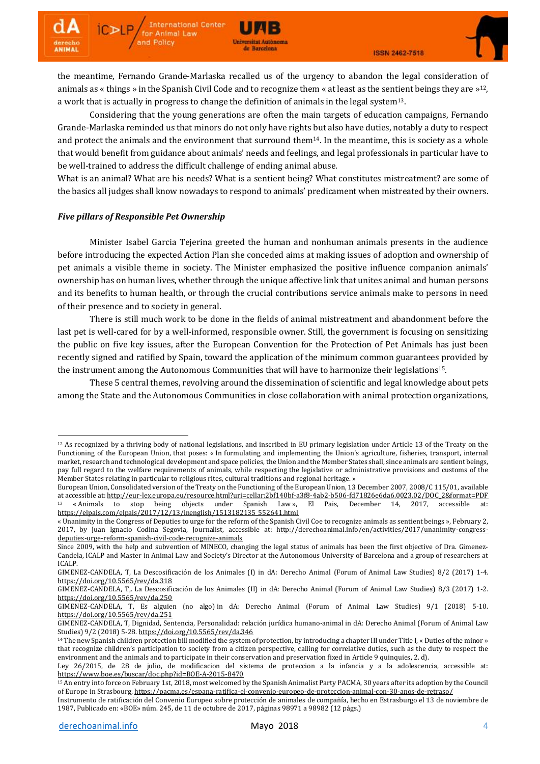

the meantime, Fernando Grande-Marlaska recalled us of the urgency to abandon the legal consideration of animals as « things » in the Spanish Civil Code and to recognize them « at least as the sentient beings they are »<sup>12</sup>, a work that is actually in progress to change the definition of animals in the legal system<sup>13</sup>.

**Universitat Autonomy** de Barcelona

Considering that the young generations are often the main targets of education campaigns, Fernando Grande-Marlaska reminded us that minors do not only have rights but also have duties, notably a duty to respect and protect the animals and the environment that surround them $14$ . In the meantime, this is society as a whole that would benefit from guidance about animals' needs and feelings, and legal professionals in particular have to be well-trained to address the difficult challenge of ending animal abuse.

What is an animal? What are his needs? What is a sentient being? What constitutes mistreatment? are some of the basics all judges shall know nowadays to respond to animals' predicament when mistreated by their owners.

## *Five pillars of Responsible Pet Ownership*

**International Center** 

for Animal Law and Policy

Minister Isabel Garcia Tejerina greeted the human and nonhuman animals presents in the audience before introducing the expected Action Plan she conceded aims at making issues of adoption and ownership of pet animals a visible theme in society. The Minister emphasized the positive influence companion animals' ownership has on human lives, whether through the unique affective link that unites animal and human persons and its benefits to human health, or through the crucial contributions service animals make to persons in need of their presence and to society in general.

There is still much work to be done in the fields of animal mistreatment and abandonment before the last pet is well-cared for by a well-informed, responsible owner. Still, the government is focusing on sensitizing the public on five key issues, after the European Convention for the Protection of Pet Animals has just been recently signed and ratified by Spain, toward the application of the minimum common guarantees provided by the instrument among the Autonomous Communities that will have to harmonize their legislations<sup>15</sup>.

These 5 central themes, revolving around the dissemination of scientific and legal knowledge about pets among the State and the Autonomous Communities in close collaboration with animal protection organizations,

**.** 

<sup>12</sup> As recognized by a thriving body of national legislations, and inscribed in EU primary legislation under Article 13 of the Treaty on the Functioning of the European Union, that poses: « In formulating and implementing the Union's agriculture, fisheries, transport, internal market, research and technological development and space policies, the Union and the Member States shall, since animals are sentient beings, pay full regard to the welfare requirements of animals, while respecting the legislative or administrative provisions and customs of the Member States relating in particular to religious rites, cultural traditions and regional heritage. »

European Union, Consolidated version of the Treaty on the Functioning of the European Union, 13 December 2007, 2008/C 115/01, available at accessible at: [http://eur-lex.europa.eu/resource.html?uri=cellar:2bf140bf-a3f8-4ab2-b506-fd71826e6da6.0023.02/DOC\\_2&format=PDF](http://eur-lex.europa.eu/resource.html?uri=cellar:2bf140bf-a3f8-4ab2-b506-fd71826e6da6.0023.02/DOC_2&format=PDF) <sup>13</sup> « Animals to stop being objects under Spanish Law », El Pais, December 14, 2017, accessible at: [https://elpais.com/elpais/2017/12/13/inenglish/1513182135\\_552641.html](https://elpais.com/elpais/2017/12/13/inenglish/1513182135_552641.html)

<sup>«</sup> Unanimity in the Congress of Deputies to urge for the reform of the Spanish Civil Coe to recognize animals as sentient beings », February 2, 2017, by Juan Ignacio Codina Segovia, Journalist, accessible at: [http://derechoanimal.info/en/activities/2017/unanimity-congress](http://derechoanimal.info/en/activities/2017/unanimity-congress-deputies-urge-reform-spanish-civil-code-recognize-animals)[deputies-urge-reform-spanish-civil-code-recognize-animals](http://derechoanimal.info/en/activities/2017/unanimity-congress-deputies-urge-reform-spanish-civil-code-recognize-animals)

Since 2009, with the help and subvention of MINECO, changing the legal status of animals has been the first objective of Dra. Gimenez-Candela, ICALP and Master in Animal Law and Society's Director at the Autonomous University of Barcelona and a group of researchers at ICALP.

GIMENEZ-CANDELA, T, La Descosificación de los Animales (I) in dA: Derecho Animal (Forum of Animal Law Studies) 8/2 (2017) 1-4. <https://doi.org/10.5565/rev/da.318>

GIMENEZ-CANDELA, T,. La Descosificación de los Animales (II) in dA: Derecho Animal (Forum of Animal Law Studies) 8/3 (2017) 1-2. <https://doi.org/10.5565/rev/da.250>

GIMENEZ-CANDELA, T, Es alguien (no algo) in dA: Derecho Animal (Forum of Animal Law Studies) 9/1 (2018) 5-10. <https://doi.org/10.5565/rev/da.251>

GIMENEZ-CANDELA, T, Dignidad, Sentencia, Personalidad: relación jurídica humano-animal in dA: Derecho Animal (Forum of Animal Law Studies) 9/2 (2018) 5-28. <https://doi.org/10.5565/rev/da.346>

<sup>14</sup> The new Spanish children protection bill modified the system of protection, by introducing a chapter III under Title I, « Duties ofthe minor » that recognize children's participation to society from a citizen perspective, calling for correlative duties, such as the duty to respect the environment and the animals and to participate in their conservation and preservation fixed in Article 9 quinquies, 2. d).

Ley 26/2015, de 28 de julio, de modificacion del sistema de proteccion a la infancia y a la adolescencia, accessible at: <https://www.boe.es/buscar/doc.php?id=BOE-A-2015-8470>

<sup>15</sup> An entry into force on February 1st, 2018, most welcomed by the Spanish Animalist Party PACMA, 30 years after its adoption by the Council of Europe in Strasbourg, <https://pacma.es/espana-ratifica-el-convenio-europeo-de-proteccion-animal-con-30-anos-de-retraso/>

Instrumento de ratificación del Convenio Europeo sobre protección de animales de compañía, hecho en Estrasburgo el 13 de noviembre de 1987, Publicado en: «BOE» núm. 245, de 11 de octubre de 2017, páginas 98971 a 98982 (12 págs.)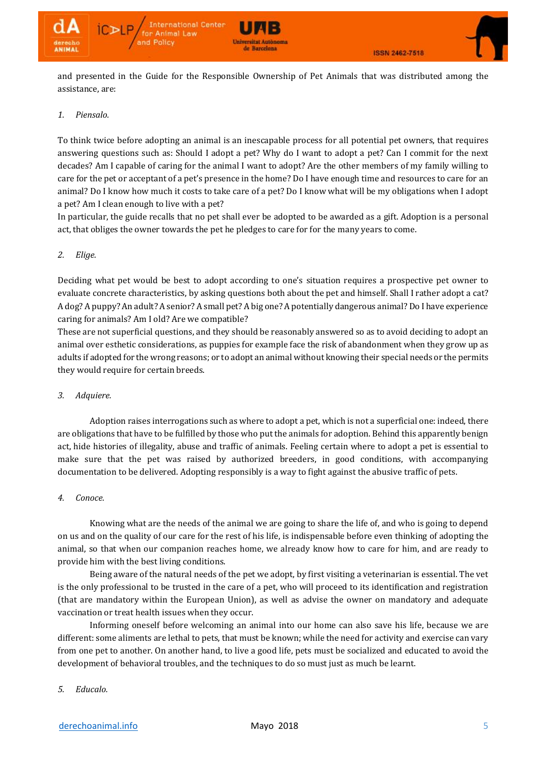

and presented in the Guide for the Responsible Ownership of Pet Animals that was distributed among the assistance, are:

## *1. Piensalo.*

To think twice before adopting an animal is an inescapable process for all potential pet owners, that requires answering questions such as: Should I adopt a pet? Why do I want to adopt a pet? Can I commit for the next decades? Am I capable of caring for the animal I want to adopt? Are the other members of my family willing to care for the pet or acceptant of a pet's presence in the home? Do I have enough time and resources to care for an animal? Do I know how much it costs to take care of a pet? Do I know what will be my obligations when I adopt a pet? Am I clean enough to live with a pet?

In particular, the guide recalls that no pet shall ever be adopted to be awarded as a gift. Adoption is a personal act, that obliges the owner towards the pet he pledges to care for for the many years to come.

## *2. Elige.*

Deciding what pet would be best to adopt according to one's situation requires a prospective pet owner to evaluate concrete characteristics, by asking questions both about the pet and himself. Shall I rather adopt a cat? A dog? A puppy? An adult? A senior? A small pet? A big one? A potentially dangerous animal? Do I have experience caring for animals? Am I old? Are we compatible?

These are not superficial questions, and they should be reasonably answered so as to avoid deciding to adopt an animal over esthetic considerations, as puppies for example face the risk of abandonment when they grow up as adults if adopted for the wrong reasons; or to adopt an animal without knowing their special needs or the permits they would require for certain breeds.

## *3. Adquiere.*

Adoption raises interrogations such as where to adopt a pet, which is not a superficial one: indeed, there are obligations that have to be fulfilled by those who put the animals for adoption. Behind this apparently benign act, hide histories of illegality, abuse and traffic of animals. Feeling certain where to adopt a pet is essential to make sure that the pet was raised by authorized breeders, in good conditions, with accompanying documentation to be delivered. Adopting responsibly is a way to fight against the abusive traffic of pets.

## *4. Conoce.*

Knowing what are the needs of the animal we are going to share the life of, and who is going to depend on us and on the quality of our care for the rest of his life, is indispensable before even thinking of adopting the animal, so that when our companion reaches home, we already know how to care for him, and are ready to provide him with the best living conditions.

Being aware of the natural needs of the pet we adopt, by first visiting a veterinarian is essential. The vet is the only professional to be trusted in the care of a pet, who will proceed to its identification and registration (that are mandatory within the European Union), as well as advise the owner on mandatory and adequate vaccination or treat health issues when they occur.

Informing oneself before welcoming an animal into our home can also save his life, because we are different: some aliments are lethal to pets, that must be known; while the need for activity and exercise can vary from one pet to another. On another hand, to live a good life, pets must be socialized and educated to avoid the development of behavioral troubles, and the techniques to do so must just as much be learnt.

# *5. Educalo.*